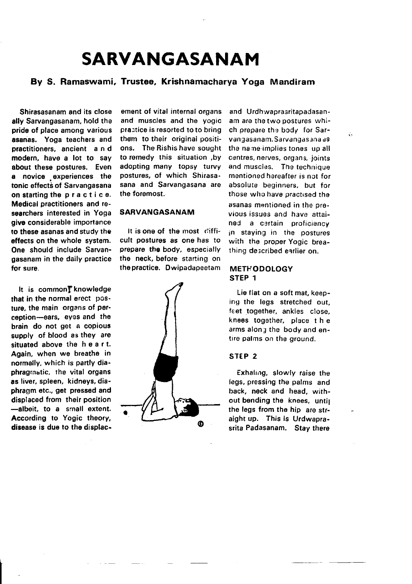# SARVANGASANAM

## By S. Ramaswami, Trustee, Krishnamacharya Yoga Mandiram

Shirasasanam and its close ally Sarvangasanam, hold the pride of place among various asanas. Yoga teachers and practitioners, ancient and modern, have a lot to say about these postures. Even a novice experiences the tonic effects of Sarvangasana on starting the p r a c t i c e. Medical practitioners and researchers interested in Yoga give considerable importance to these asanas and study the effects on the whole system. One should include Sarvangasanam in the daily practice for sure.

It is common<sup>t</sup> knowledge that in the normal erect  $pos$ ture, the main organs of perception-ears, eyes and the brain do not get a copious supply of blood as they are situated above the heart. Again, when we breathe in normally, which is partly diaphragrnatic, the vital organs as liver, spleen, kidneys, diaphragm otc.. get pressed and displaced from their position -albeit, to a small extent. According to Yogic theory, disease is due to the displac-

ement of vital internal organs and muscles and the yogic practice is resorted to to bring them to their original positions. The Rishis have sought to remedy this situation ,by adopting many topsy turvy postures, of which Shirasasana and Sarvangasana are the foremost.

#### SARVANGASANAM

It is one of the most difficult postures as one has to prepare the body, especially the neck, before starting on the practice. Dwipadapeetam



and Urdhwaprasritapadasanam are the two postures which prepare the body for Sarvangasanam. Sarvangasana as the name-implies tones up all centres, nerves, organs, joints and muscles. The technique mentioned hereafter is not for absolute beginners, but for those who have practised the asanas mantioned in the previous issues and have attained a certain proficiency in staying in the postures with the proper Yogic breathing de;cribed earlier on.

ñ.

#### **METHODOLOGY** STEP 1

Lie flat on a soft mat, keeping the legs stretched out, fcet together, ankles close, knees togsther, place t h e arms along the body and entire palms on the ground.

#### STEP 2

Exhaling, slowly raise the legs, pressing the palms and back. neck and head, without bending the knees, until the legs from the hip are straight up. This is Urdwaprasrita Padasanam. Stay there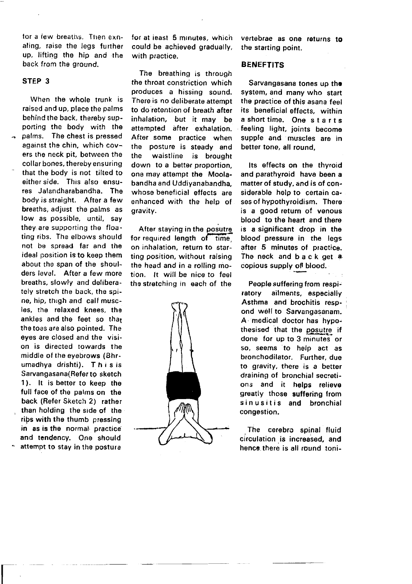tor a few breaths. Then exnaling, raise the legs further up, lifting the hip and rhe back from the ground.

#### STEP 3

When the whole trunk is raised and up, place the palms behind the back, thereby supporting the body with the palms. The chest is pressed against the chin, which covers the neck pit, between the collar bones, thereby ensuring that the body is not tilted to either side. This also ensures Jalandharabandha. The body is straight. After a few breaths, adjust the palms as low as possible, until, say they are supporting the floating ribs. The elbows should not be spread far and the ideal position is to keep them about the span of the shoulders level. After a few more breaths, slowly and deliberately stretch the back, the spine, hip, thigh and calf muscles, the relaxed knees, the ankles and the feet so that the toes are also pointed. The eyes are closed and the vision is directed towards the middle of the eyebrows (Bhrumadhya drishti). This is Sarvangasana(Refer to sketch 1). lt is better to keep tho full face ot the palms on the back (Refer Sketch 2) rather than holding the side of the rips with the thumb pressing in as is the normal practice and tendency. One should attempt to stay in the posture

 $\overline{\mathsf{I}}$ 

for at ieast 5 minutes, which could be achieved gradually, with practice.

The breathing is through the throat constriction which produces a hissing sound. There is no deliberate attempt to do retention of breath after inhalation, but it may be attempted after exhalation. After some practice when the posture is steady and the waistline is brought down to a better proportion, one may attempt the Moolabandha and Uddiyanabandha, whose beneficial effects are enhanced with the help of gravity.

After staving in the posutre for required length of time, on inhalation, return to starting position, without raising the head and in a rolling motion. lt will be nice to feel the stretching in each of the



vertebrae as one returns to the starting point.

#### BENEFTITS

Sarvangasana tones up the system, and many who start the practice of this asana feel its beneficial effects, within a short time. One starts feeling light, joints become supple and muscles are in better tone, all round,

Its effects on the thyroid and parathyroid have been a matter of study, and is of considerable help to certain cases of hypothyroidism. There is a good return of venous blood to the heart and there is a significant drop in the blood pressure in the legs after 5 minutes of practice. The neck and back get a. copious supply of blood.

People suffering from respiratory ailments, especially Asthma and brochitis respond well to Sarvangasanam. A,medical doctor has hypothesised that the posutre if done for up to 3 minutes or so, seems to help act as bronchodilator. Further, due to gravity, there is a better draining of bronchial secretions and it helps relieve greatly those suffering from sinusitis and bronchial congestion.

The cerebro spinal fluid circulation.is increased, and hence there is all round toni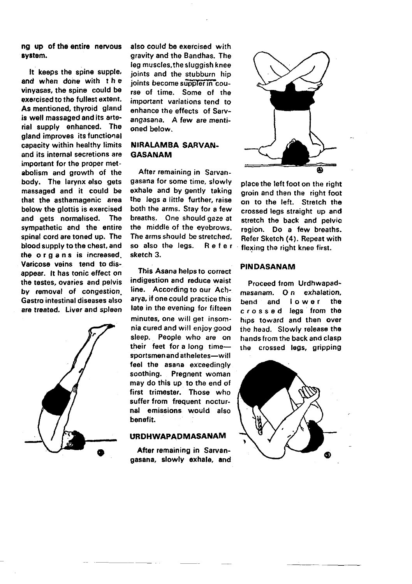na up of the entire nervous system.

It keeps the spine supple, and when done with the vinvasas, the spine could be exercised to the fullest extent. As mentioned, thyroid gland is well massaged and its arterial supply enhanced. The gland improves its functional capacity within healthy limits and its internal secretions are important for the proper metabolism and growth of the body. The larynx also gets massaged and it could be that the asthamagenic area below the glottis is exercised and gets normalised. **The** sympathetic and the entire spinal cord are toned up. The blood supply to the chest, and the organs is increased. Varicose veins tend to disappear. It has tonic effect on the testes, ovaries and pelvis by removal of congestion Gastro intestinal diseases also are treated. Liver and spleen



also could be exercised with gravity and the Bandhas. The leg muscles, the sluggish knee joints and the stubburn hip joints become suppler in course of time. Some of the important variations tend to enhance the effects of Sarvangasana. A few are mentioned helow.

## **NIRALAMBA SARVAN-GASANAM**

After remaining in Sarvangasana for some time, slowly exhale and by gently taking the legs a little further, raise both the arms. Stay for a few breaths. One should gaze at the middle of the evebrows. The arms should be stretched. so also the legs. Refer sketch 3.

This Asana helps to correct indigestion and reduce waist line. According to our Acharya, if one could practice this late in the evening for fifteen minutes, one will get insomnia cured and will enjoy good sleep. People who are on their feet for a long timesportsmen and atheletes-will feel the asana exceedingly soothing. Pregnent woman may do this up to the end of first trimester. Those who suffer from frequent nocturnal emissions would also benefit.

## **URDHWAPADMASANAM**

After remaining in Sarvangasana, slowly exhale, and



place the left foot on the right groin and then the right foot on to the left. Stretch the crossed legs straight up and stretch the back and pelvic region. Do a few breaths. Refer Sketch (4). Repeat with flexing the right knee first.

#### **PINDASANAM**

Proceed from Urdhwapadmasanam. On exhalation. lower the bend and crossed legs from the hips toward and then over the head. Slowly release the hands from the back and clasp the crossed leas, aripping